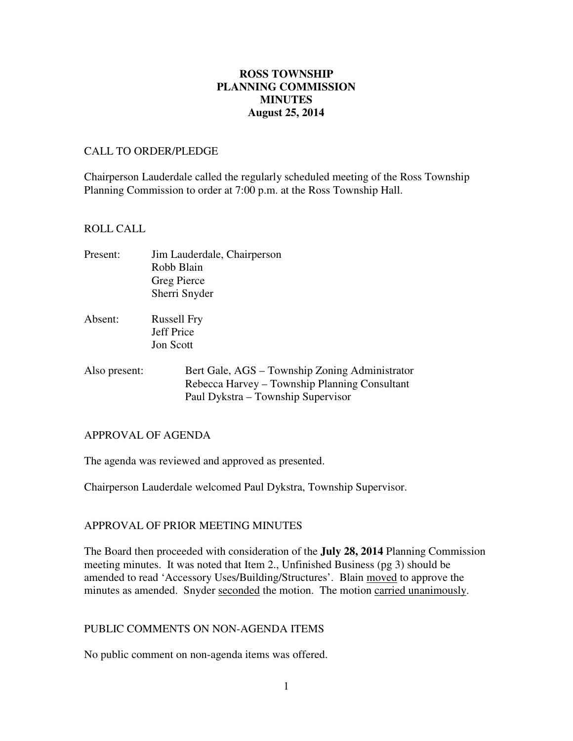## **August 25, 2014 ROSS TOWNSHIP PLANNING COMMISSION MINUTES**

## CALL TO ORDER/PLEDGE

 Chairperson Lauderdale called the regularly scheduled meeting of the Ross Township Planning Commission to order at 7:00 p.m. at the Ross Township Hall.

## ROLL CALL

| Present: | Jim Lauderdale, Chairperson |
|----------|-----------------------------|
|          | Robb Blain                  |
|          | <b>Greg Pierce</b>          |
|          | Sherri Snyder               |
|          |                             |

- Absent: Russell Fry Jeff Price Jon Scott
- Also present: Bert Gale, AGS – Township Zoning Administrator Rebecca Harvey – Township Planning Consultant Paul Dykstra – Township Supervisor

## APPROVAL OF AGENDA

The agenda was reviewed and approved as presented.

Chairperson Lauderdale welcomed Paul Dykstra, Township Supervisor.

# APPROVAL OF PRIOR MEETING MINUTES

 The Board then proceeded with consideration of the **July 28, 2014** Planning Commission meeting minutes. It was noted that Item 2., Unfinished Business (pg 3) should be amended to read 'Accessory Uses/Building/Structures'. Blain moved to approve the minutes as amended. Snyder seconded the motion. The motion carried unanimously.

## PUBLIC COMMENTS ON NON-AGENDA ITEMS

No public comment on non-agenda items was offered.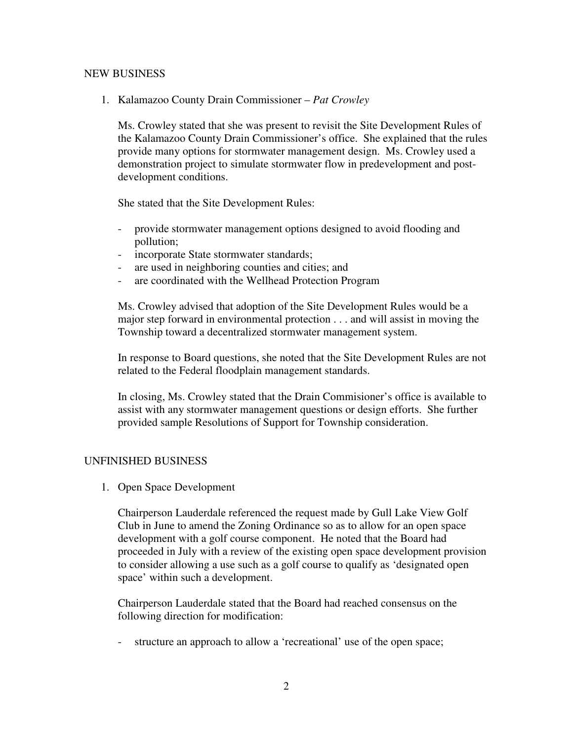# NEW BUSINESS

1. Kalamazoo County Drain Commissioner – *Pat Crowley* 

 Ms. Crowley stated that she was present to revisit the Site Development Rules of the Kalamazoo County Drain Commissioner's office. She explained that the rules provide many options for stormwater management design. Ms. Crowley used a demonstration project to simulate stormwater flow in predevelopment and post-development conditions.

She stated that the Site Development Rules:

- - provide stormwater management options designed to avoid flooding and pollution;
- incorporate State stormwater standards;
- are used in neighboring counties and cities; and
- are coordinated with the Wellhead Protection Program

 Ms. Crowley advised that adoption of the Site Development Rules would be a major step forward in environmental protection . . . and will assist in moving the Township toward a decentralized stormwater management system.

 In response to Board questions, she noted that the Site Development Rules are not related to the Federal floodplain management standards.

 In closing, Ms. Crowley stated that the Drain Commisioner's office is available to assist with any stormwater management questions or design efforts. She further provided sample Resolutions of Support for Township consideration.

# UNFINISHED BUSINESS

1. Open Space Development

 Chairperson Lauderdale referenced the request made by Gull Lake View Golf Club in June to amend the Zoning Ordinance so as to allow for an open space development with a golf course component. He noted that the Board had proceeded in July with a review of the existing open space development provision to consider allowing a use such as a golf course to qualify as 'designated open space' within such a development.

 Chairperson Lauderdale stated that the Board had reached consensus on the following direction for modification:

- structure an approach to allow a 'recreational' use of the open space;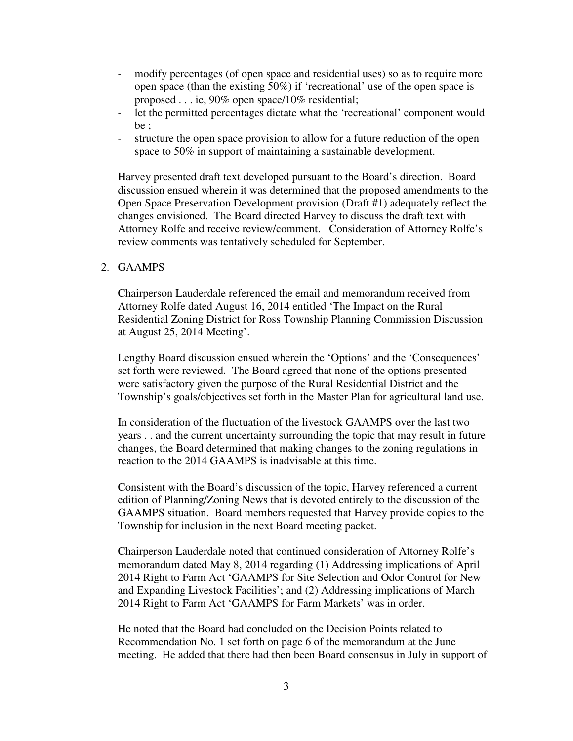- - modify percentages (of open space and residential uses) so as to require more open space (than the existing 50%) if 'recreational' use of the open space is proposed . . . ie, 90% open space/10% residential;
- - let the permitted percentages dictate what the 'recreational' component would be ;
- - structure the open space provision to allow for a future reduction of the open space to 50% in support of maintaining a sustainable development.

 Harvey presented draft text developed pursuant to the Board's direction. Board discussion ensued wherein it was determined that the proposed amendments to the Open Space Preservation Development provision (Draft #1) adequately reflect the changes envisioned. The Board directed Harvey to discuss the draft text with Attorney Rolfe and receive review/comment. Consideration of Attorney Rolfe's review comments was tentatively scheduled for September.

#### 2. GAAMPS

 Chairperson Lauderdale referenced the email and memorandum received from Attorney Rolfe dated August 16, 2014 entitled 'The Impact on the Rural Residential Zoning District for Ross Township Planning Commission Discussion at August 25, 2014 Meeting'.

 Lengthy Board discussion ensued wherein the 'Options' and the 'Consequences' set forth were reviewed. The Board agreed that none of the options presented were satisfactory given the purpose of the Rural Residential District and the Township's goals/objectives set forth in the Master Plan for agricultural land use.

 In consideration of the fluctuation of the livestock GAAMPS over the last two years . . and the current uncertainty surrounding the topic that may result in future changes, the Board determined that making changes to the zoning regulations in reaction to the 2014 GAAMPS is inadvisable at this time.

 Consistent with the Board's discussion of the topic, Harvey referenced a current edition of Planning/Zoning News that is devoted entirely to the discussion of the GAAMPS situation. Board members requested that Harvey provide copies to the Township for inclusion in the next Board meeting packet.

 Chairperson Lauderdale noted that continued consideration of Attorney Rolfe's memorandum dated May 8, 2014 regarding (1) Addressing implications of April 2014 Right to Farm Act 'GAAMPS for Site Selection and Odor Control for New and Expanding Livestock Facilities'; and (2) Addressing implications of March 2014 Right to Farm Act 'GAAMPS for Farm Markets' was in order.

 He noted that the Board had concluded on the Decision Points related to Recommendation No. 1 set forth on page 6 of the memorandum at the June meeting. He added that there had then been Board consensus in July in support of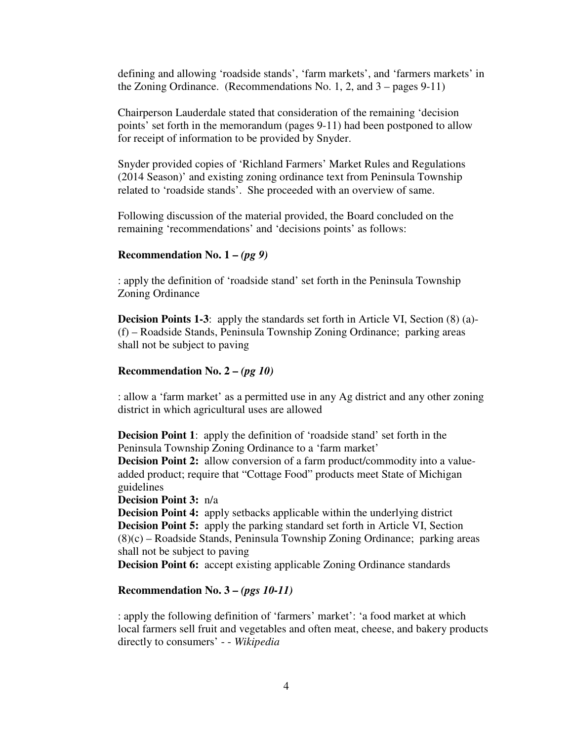defining and allowing 'roadside stands', 'farm markets', and 'farmers markets' in the Zoning Ordinance. (Recommendations No. 1, 2, and 3 – pages 9-11)

 Chairperson Lauderdale stated that consideration of the remaining 'decision points' set forth in the memorandum (pages 9-11) had been postponed to allow for receipt of information to be provided by Snyder.

 Snyder provided copies of 'Richland Farmers' Market Rules and Regulations (2014 Season)' and existing zoning ordinance text from Peninsula Township related to 'roadside stands'. She proceeded with an overview of same.

 Following discussion of the material provided, the Board concluded on the remaining 'recommendations' and 'decisions points' as follows:

#### **Recommendation No.**  $1 - (pg 9)$

 : apply the definition of 'roadside stand' set forth in the Peninsula Township Zoning Ordinance

**Decision Points 1-3**: apply the standards set forth in Article VI, Section (8) (a)- (f) – Roadside Stands, Peninsula Township Zoning Ordinance; parking areas shall not be subject to paving

#### **Recommendation No. 2 –** *(pg 10)*

 : allow a 'farm market' as a permitted use in any Ag district and any other zoning district in which agricultural uses are allowed

**Decision Point 1:** apply the definition of 'roadside stand' set forth in the Peninsula Township Zoning Ordinance to a 'farm market'

**Decision Point 2:** allow conversion of a farm product/commodity into a value- added product; require that "Cottage Food" products meet State of Michigan guidelines

 **Decision Point 3:** n/a

**Decision Point 4:** apply setbacks applicable within the underlying district **Decision Point 5:** apply the parking standard set forth in Article VI, Section (8)(c) – Roadside Stands, Peninsula Township Zoning Ordinance; parking areas shall not be subject to paving

**Decision Point 6:** accept existing applicable Zoning Ordinance standards

#### **Recommendation No. 3 –** *(pgs 10-11)*

 : apply the following definition of 'farmers' market': 'a food market at which local farmers sell fruit and vegetables and often meat, cheese, and bakery products directly to consumers' - - *Wikipedia*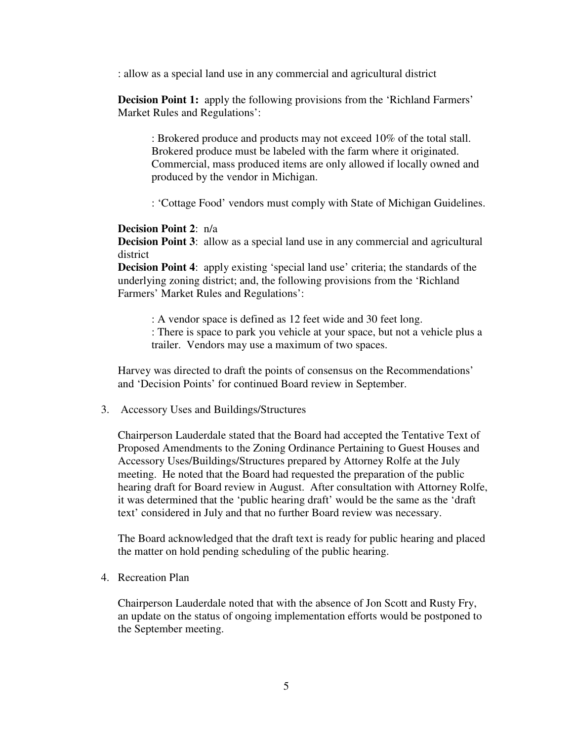: allow as a special land use in any commercial and agricultural district

**Decision Point 1:** apply the following provisions from the 'Richland Farmers' Market Rules and Regulations':

 : Brokered produce and products may not exceed 10% of the total stall. Brokered produce must be labeled with the farm where it originated. Commercial, mass produced items are only allowed if locally owned and produced by the vendor in Michigan.

: 'Cottage Food' vendors must comply with State of Michigan Guidelines.

#### **Decision Point 2**: n/a

**Decision Point 3:** allow as a special land use in any commercial and agricultural district

**Decision Point 4:** apply existing 'special land use' criteria; the standards of the underlying zoning district; and, the following provisions from the 'Richland Farmers' Market Rules and Regulations':

: A vendor space is defined as 12 feet wide and 30 feet long.

 : There is space to park you vehicle at your space, but not a vehicle plus a trailer. Vendors may use a maximum of two spaces.

 Harvey was directed to draft the points of consensus on the Recommendations' and 'Decision Points' for continued Board review in September.

3. Accessory Uses and Buildings/Structures

 Chairperson Lauderdale stated that the Board had accepted the Tentative Text of Proposed Amendments to the Zoning Ordinance Pertaining to Guest Houses and Accessory Uses/Buildings/Structures prepared by Attorney Rolfe at the July meeting. He noted that the Board had requested the preparation of the public hearing draft for Board review in August. After consultation with Attorney Rolfe, it was determined that the 'public hearing draft' would be the same as the 'draft text' considered in July and that no further Board review was necessary.

 The Board acknowledged that the draft text is ready for public hearing and placed the matter on hold pending scheduling of the public hearing.

4. Recreation Plan

 Chairperson Lauderdale noted that with the absence of Jon Scott and Rusty Fry, an update on the status of ongoing implementation efforts would be postponed to the September meeting.